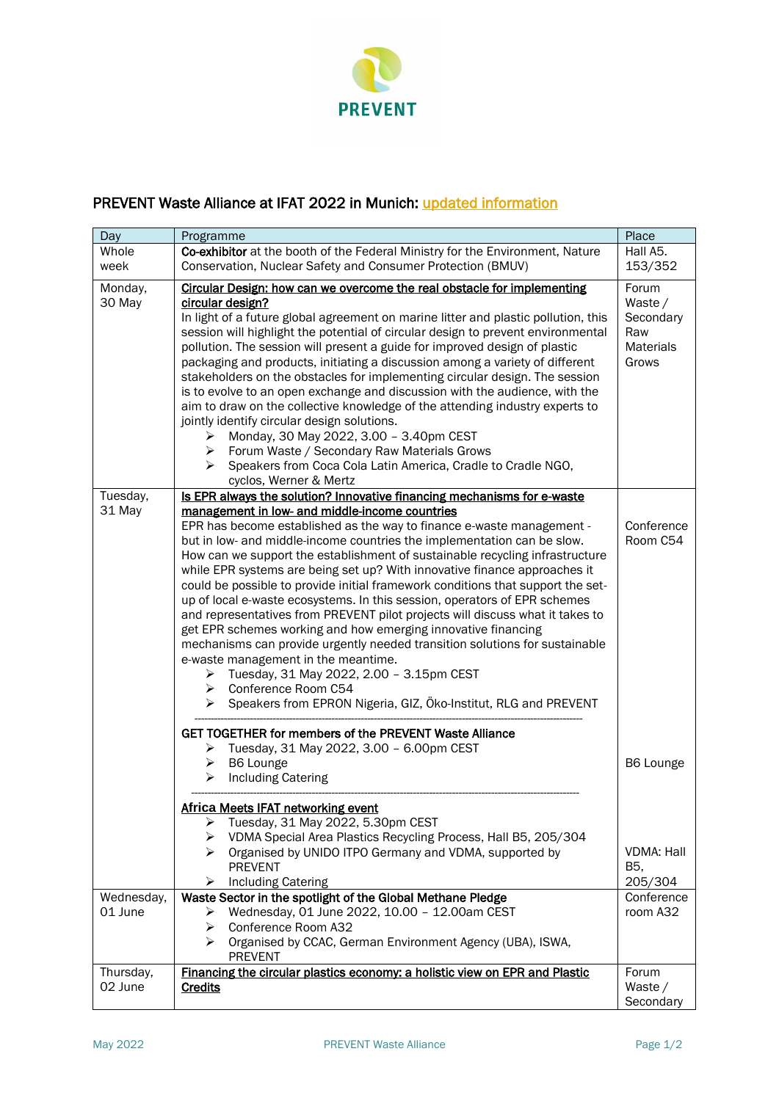

## PREVENT Waste Alliance at IFAT 2022 in Munich: [updated information](https://prevent-waste.net/en/ifat-munich-2022/)

| Day                   | Programme                                                                                                                                                                                                                                                                                                                                                                                                                                                                                                                                                                                                                                                                                                                                                                                                                                                                                                                                                                                                                                                                                                | Place                                                             |
|-----------------------|----------------------------------------------------------------------------------------------------------------------------------------------------------------------------------------------------------------------------------------------------------------------------------------------------------------------------------------------------------------------------------------------------------------------------------------------------------------------------------------------------------------------------------------------------------------------------------------------------------------------------------------------------------------------------------------------------------------------------------------------------------------------------------------------------------------------------------------------------------------------------------------------------------------------------------------------------------------------------------------------------------------------------------------------------------------------------------------------------------|-------------------------------------------------------------------|
| Whole<br>week         | Co-exhibitor at the booth of the Federal Ministry for the Environment, Nature<br>Conservation, Nuclear Safety and Consumer Protection (BMUV)                                                                                                                                                                                                                                                                                                                                                                                                                                                                                                                                                                                                                                                                                                                                                                                                                                                                                                                                                             | Hall A5.<br>153/352                                               |
| Monday,<br>30 May     | Circular Design: how can we overcome the real obstacle for implementing<br>circular design?<br>In light of a future global agreement on marine litter and plastic pollution, this<br>session will highlight the potential of circular design to prevent environmental<br>pollution. The session will present a guide for improved design of plastic<br>packaging and products, initiating a discussion among a variety of different<br>stakeholders on the obstacles for implementing circular design. The session<br>is to evolve to an open exchange and discussion with the audience, with the<br>aim to draw on the collective knowledge of the attending industry experts to<br>jointly identify circular design solutions.<br>Monday, 30 May 2022, 3.00 - 3.40pm CEST<br>➤<br>Forum Waste / Secondary Raw Materials Grows<br>➤<br>≻<br>Speakers from Coca Cola Latin America, Cradle to Cradle NGO,<br>cyclos, Werner & Mertz                                                                                                                                                                      | Forum<br>Waste /<br>Secondary<br>Raw<br><b>Materials</b><br>Grows |
| Tuesday,<br>31 May    | Is EPR always the solution? Innovative financing mechanisms for e-waste<br>management in low- and middle-income countries<br>EPR has become established as the way to finance e-waste management -<br>but in low- and middle-income countries the implementation can be slow.<br>How can we support the establishment of sustainable recycling infrastructure<br>while EPR systems are being set up? With innovative finance approaches it<br>could be possible to provide initial framework conditions that support the set-<br>up of local e-waste ecosystems. In this session, operators of EPR schemes<br>and representatives from PREVENT pilot projects will discuss what it takes to<br>get EPR schemes working and how emerging innovative financing<br>mechanisms can provide urgently needed transition solutions for sustainable<br>e-waste management in the meantime.<br>Tuesday, 31 May 2022, 2.00 - 3.15pm CEST<br>➤<br>Conference Room C54<br>➤<br>Speakers from EPRON Nigeria, GIZ, Öko-Institut, RLG and PREVENT<br>➤<br><b>GET TOGETHER for members of the PREVENT Waste Alliance</b> | Conference<br>Room C54                                            |
|                       | Tuesday, 31 May 2022, 3.00 - 6.00pm CEST<br>➤<br>B6 Lounge<br>➤<br>➤<br><b>Including Catering</b><br>Africa Meets IFAT networking event<br>Tuesday, 31 May 2022, 5.30pm CEST<br>➤<br>VDMA Special Area Plastics Recycling Process, Hall B5, 205/304<br>➤<br>Organised by UNIDO ITPO Germany and VDMA, supported by<br>≻<br><b>PREVENT</b><br><b>Including Catering</b><br>➤                                                                                                                                                                                                                                                                                                                                                                                                                                                                                                                                                                                                                                                                                                                              | B6 Lounge<br><b>VDMA: Hall</b><br>B5,<br>205/304                  |
| Wednesday,<br>01 June | Waste Sector in the spotlight of the Global Methane Pledge<br>Wednesday, 01 June 2022, 10.00 - 12.00am CEST<br>➤<br>Conference Room A32<br>➤                                                                                                                                                                                                                                                                                                                                                                                                                                                                                                                                                                                                                                                                                                                                                                                                                                                                                                                                                             | Conference<br>room A32                                            |
|                       | Organised by CCAC, German Environment Agency (UBA), ISWA,<br>⋗<br><b>PREVENT</b>                                                                                                                                                                                                                                                                                                                                                                                                                                                                                                                                                                                                                                                                                                                                                                                                                                                                                                                                                                                                                         |                                                                   |
| Thursday,<br>02 June  | Financing the circular plastics economy: a holistic view on EPR and Plastic<br><b>Credits</b>                                                                                                                                                                                                                                                                                                                                                                                                                                                                                                                                                                                                                                                                                                                                                                                                                                                                                                                                                                                                            | Forum<br>Waste /<br>Secondary                                     |